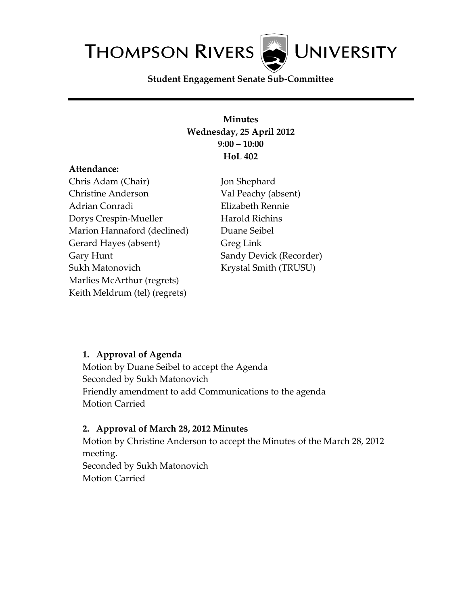

**Student Engagement Senate Sub-Committee**

## **Minutes Wednesday, 25 April 2012 9:00 – 10:00 HoL 402**

#### **Attendance:**

Chris Adam (Chair) Christine Anderson Adrian Conradi Dorys Crespin-Mueller Marion Hannaford (declined) Gerard Hayes (absent) Gary Hunt Sukh Matonovich Marlies McArthur (regrets) Keith Meldrum (tel) (regrets)

Jon Shephard Val Peachy (absent) Elizabeth Rennie Harold Richins Duane Seibel Greg Link Sandy Devick (Recorder) Krystal Smith (TRUSU)

### **1. Approval of Agenda**

Motion by Duane Seibel to accept the Agenda Seconded by Sukh Matonovich Friendly amendment to add Communications to the agenda Motion Carried

### **2. Approval of March 28, 2012 Minutes**

Motion by Christine Anderson to accept the Minutes of the March 28, 2012 meeting. Seconded by Sukh Matonovich Motion Carried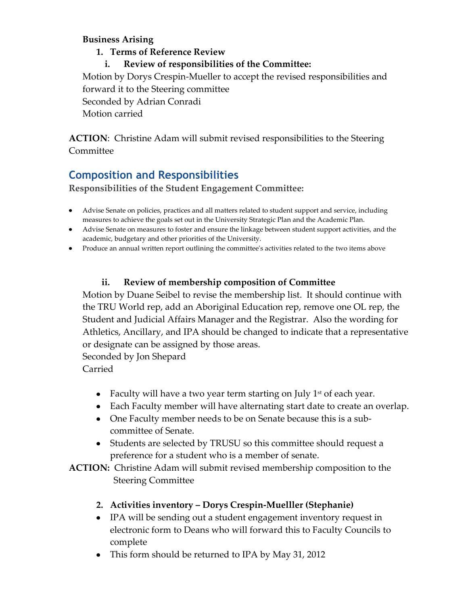### **Business Arising**

### **1. Terms of Reference Review**

**i. Review of responsibilities of the Committee:**

Motion by Dorys Crespin-Mueller to accept the revised responsibilities and forward it to the Steering committee Seconded by Adrian Conradi Motion carried

**ACTION**: Christine Adam will submit revised responsibilities to the Steering Committee

# **Composition and Responsibilities**

**Responsibilities of the Student Engagement Committee:**

- Advise Senate on policies, practices and all matters related to student support and service, including measures to achieve the goals set out in the University Strategic Plan and the Academic Plan.
- Advise Senate on measures to foster and ensure the linkage between student support activities, and the academic, budgetary and other priorities of the University.
- Produce an annual written report outlining the committee's activities related to the two items above

## **ii. Review of membership composition of Committee**

Motion by Duane Seibel to revise the membership list. It should continue with the TRU World rep, add an Aboriginal Education rep, remove one OL rep, the Student and Judicial Affairs Manager and the Registrar. Also the wording for Athletics, Ancillary, and IPA should be changed to indicate that a representative or designate can be assigned by those areas.

Seconded by Jon Shepard Carried

- Faculty will have a two year term starting on July  $1<sup>st</sup>$  of each year.
- Each Faculty member will have alternating start date to create an overlap.
- One Faculty member needs to be on Senate because this is a subcommittee of Senate.
- Students are selected by TRUSU so this committee should request a preference for a student who is a member of senate.

**ACTION:** Christine Adam will submit revised membership composition to the Steering Committee

- **2. Activities inventory – Dorys Crespin-Muelller (Stephanie)**
- IPA will be sending out a student engagement inventory request in electronic form to Deans who will forward this to Faculty Councils to complete
- This form should be returned to IPA by May 31, 2012